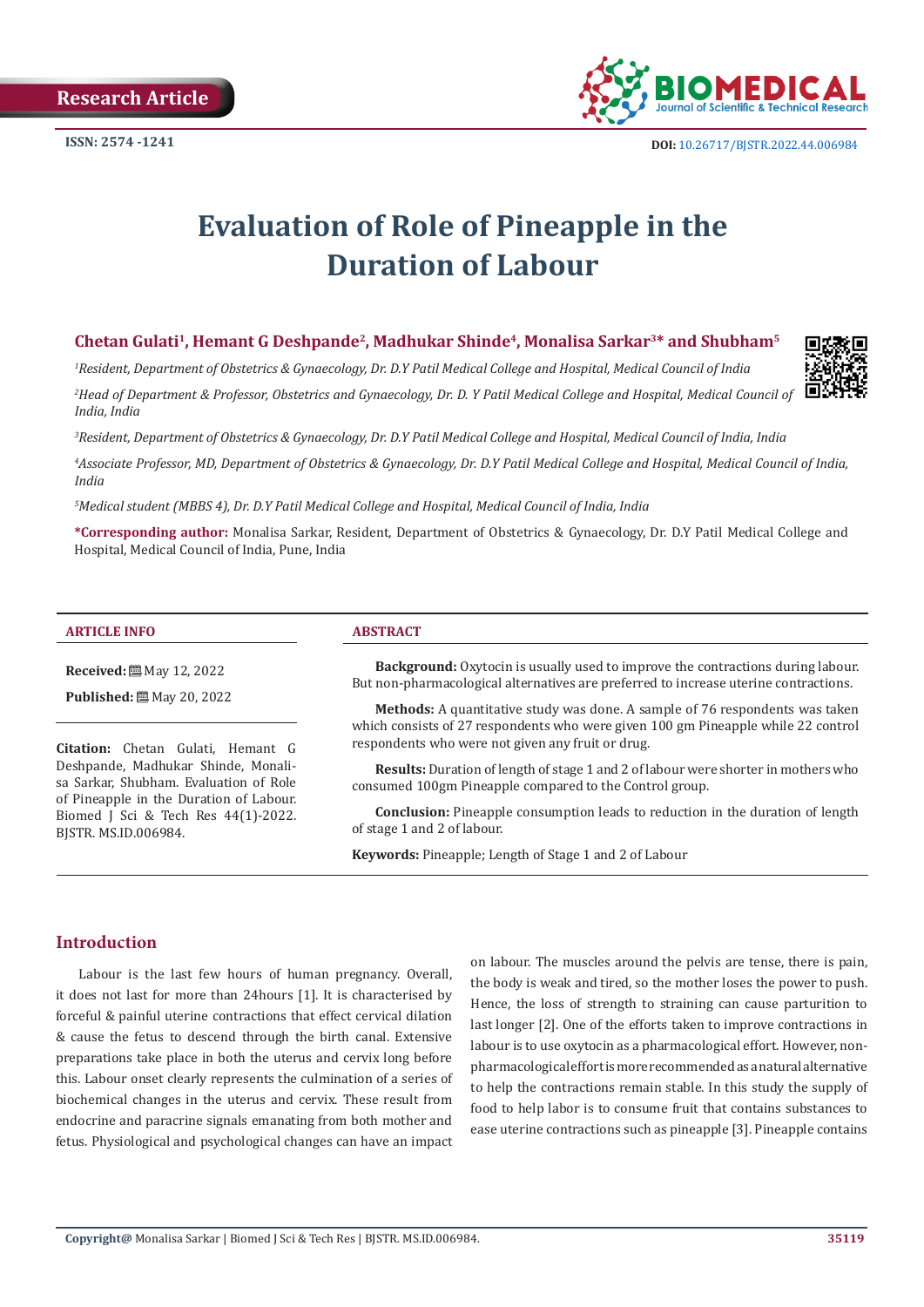**Research Article**

# **Evaluation of Role of Pineapple in the Duration of Labour**

# **Chetan Gulati1, Hemant G Deshpande2, Madhukar Shinde4, Monalisa Sarkar3\* and Shubham5**

*1 Resident, Department of Obstetrics & Gynaecology, Dr. D.Y Patil Medical College and Hospital, Medical Council of India*

*2 Head of Department & Professor, Obstetrics and Gynaecology, Dr. D. Y Patil Medical College and Hospital, Medical Council of India, India*

*3 Resident, Department of Obstetrics & Gynaecology, Dr. D.Y Patil Medical College and Hospital, Medical Council of India, India*

*4 Associate Professor, MD, Department of Obstetrics & Gynaecology, Dr. D.Y Patil Medical College and Hospital, Medical Council of India, India*

*5 Medical student (MBBS 4), Dr. D.Y Patil Medical College and Hospital, Medical Council of India, India*

**\*Corresponding author:** Monalisa Sarkar, Resident, Department of Obstetrics & Gynaecology, Dr. D.Y Patil Medical College and Hospital, Medical Council of India, Pune, India

#### **ARTICLE INFO ABSTRACT**

**Received:** ■ May 12, 2022

**Published:** 圖 May 20, 2022

**Citation:** Chetan Gulati, Hemant G Deshpande, Madhukar Shinde, Monalisa Sarkar, Shubham. Evaluation of Role of Pineapple in the Duration of Labour. Biomed J Sci & Tech Res 44(1)-2022. BJSTR. MS.ID.006984.

**Background:** Oxytocin is usually used to improve the contractions during labour. But non-pharmacological alternatives are preferred to increase uterine contractions.

**Methods:** A quantitative study was done. A sample of 76 respondents was taken which consists of 27 respondents who were given 100 gm Pineapple while 22 control respondents who were not given any fruit or drug.

**Results:** Duration of length of stage 1 and 2 of labour were shorter in mothers who consumed 100gm Pineapple compared to the Control group.

**Conclusion:** Pineapple consumption leads to reduction in the duration of length of stage 1 and 2 of labour.

**Keywords:** Pineapple; Length of Stage 1 and 2 of Labour

# **Introduction**

Labour is the last few hours of human pregnancy. Overall, it does not last for more than 24hours [1]. It is characterised by forceful & painful uterine contractions that effect cervical dilation & cause the fetus to descend through the birth canal. Extensive preparations take place in both the uterus and cervix long before this. Labour onset clearly represents the culmination of a series of biochemical changes in the uterus and cervix. These result from endocrine and paracrine signals emanating from both mother and fetus. Physiological and psychological changes can have an impact on labour. The muscles around the pelvis are tense, there is pain, the body is weak and tired, so the mother loses the power to push. Hence, the loss of strength to straining can cause parturition to last longer [2]. One of the efforts taken to improve contractions in labour is to use oxytocin as a pharmacological effort. However, nonpharmacological effort is more recommended as a natural alternative to help the contractions remain stable. In this study the supply of food to help labor is to consume fruit that contains substances to ease uterine contractions such as pineapple [3]. Pineapple contains

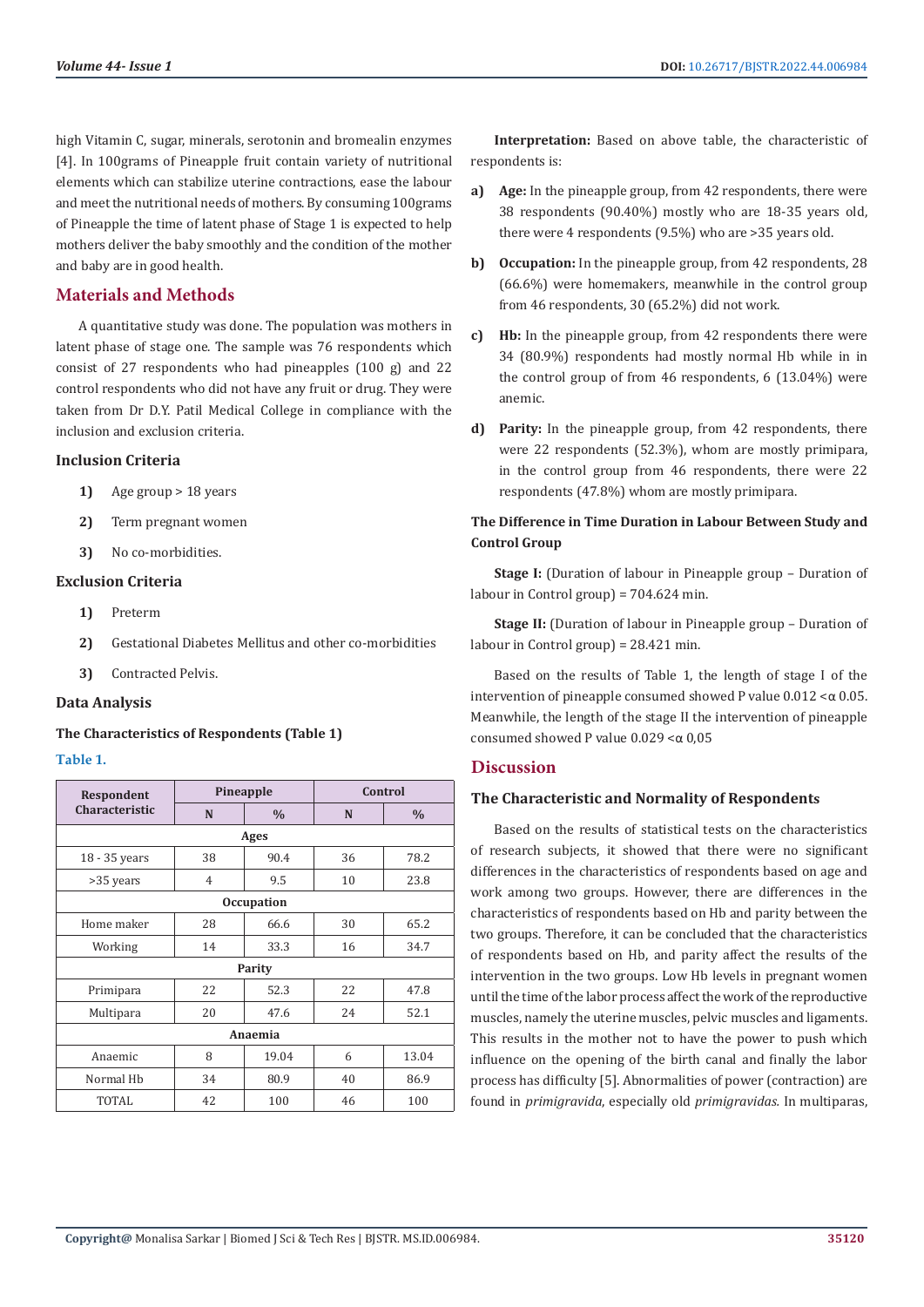high Vitamin C, sugar, minerals, serotonin and bromealin enzymes [4]. In 100grams of Pineapple fruit contain variety of nutritional elements which can stabilize uterine contractions, ease the labour and meet the nutritional needs of mothers. By consuming 100grams of Pineapple the time of latent phase of Stage 1 is expected to help mothers deliver the baby smoothly and the condition of the mother and baby are in good health.

# **Materials and Methods**

A quantitative study was done. The population was mothers in latent phase of stage one. The sample was 76 respondents which consist of 27 respondents who had pineapples (100 g) and 22 control respondents who did not have any fruit or drug. They were taken from Dr D.Y. Patil Medical College in compliance with the inclusion and exclusion criteria.

#### **Inclusion Criteria**

- **1)** Age group > 18 years
- **2)** Term pregnant women
- **3)** No co-morbidities.

#### **Exclusion Criteria**

- **1)** Preterm
- **2)** Gestational Diabetes Mellitus and other co-morbidities
- **3)** Contracted Pelvis.

#### **Data Analysis**

#### **The Characteristics of Respondents (Table 1)**

#### **Table 1.**

| Respondent<br>Characteristic | Pineapple      |               | Control |               |
|------------------------------|----------------|---------------|---------|---------------|
|                              | N              | $\frac{0}{0}$ | N       | $\frac{0}{0}$ |
| Ages                         |                |               |         |               |
| 18 - 35 years                | 38             | 90.4          | 36      | 78.2          |
| >35 years                    | $\overline{4}$ | 9.5           | 10      | 23.8          |
| <b>Occupation</b>            |                |               |         |               |
| Home maker                   | 28             | 66.6          | 30      | 65.2          |
| Working                      | 14             | 33.3          | 16      | 34.7          |
| Parity                       |                |               |         |               |
| Primipara                    | 22             | 52.3          | 22      | 47.8          |
| Multipara                    | 20             | 47.6          | 24      | 52.1          |
| Anaemia                      |                |               |         |               |
| Anaemic                      | 8              | 19.04         | 6       | 13.04         |
| Normal Hb                    | 34             | 80.9          | 40      | 86.9          |
| TOTAL                        | 42             | 100           | 46      | 100           |

**Interpretation:** Based on above table, the characteristic of respondents is:

- **a) Age:** In the pineapple group, from 42 respondents, there were 38 respondents (90.40%) mostly who are 18-35 years old, there were 4 respondents (9.5%) who are >35 years old.
- **b) Occupation:** In the pineapple group, from 42 respondents, 28 (66.6%) were homemakers, meanwhile in the control group from 46 respondents, 30 (65.2%) did not work.
- **c) Hb:** In the pineapple group, from 42 respondents there were 34 (80.9%) respondents had mostly normal Hb while in in the control group of from 46 respondents, 6 (13.04%) were anemic.
- **d) Parity:** In the pineapple group, from 42 respondents, there were 22 respondents (52.3%), whom are mostly primipara, in the control group from 46 respondents, there were 22 respondents (47.8%) whom are mostly primipara.

### **The Difference in Time Duration in Labour Between Study and Control Group**

**Stage I:** (Duration of labour in Pineapple group – Duration of labour in Control group) = 704.624 min.

**Stage II:** (Duration of labour in Pineapple group – Duration of labour in Control group) = 28.421 min.

Based on the results of Table 1, the length of stage I of the intervention of pineapple consumed showed P value  $0.012 < \alpha$  0.05. Meanwhile, the length of the stage II the intervention of pineapple consumed showed P value 0.029 <α 0,05

#### **Discussion**

#### **The Characteristic and Normality of Respondents**

Based on the results of statistical tests on the characteristics of research subjects, it showed that there were no significant differences in the characteristics of respondents based on age and work among two groups. However, there are differences in the characteristics of respondents based on Hb and parity between the two groups. Therefore, it can be concluded that the characteristics of respondents based on Hb, and parity affect the results of the intervention in the two groups. Low Hb levels in pregnant women until the time of the labor process affect the work of the reproductive muscles, namely the uterine muscles, pelvic muscles and ligaments. This results in the mother not to have the power to push which influence on the opening of the birth canal and finally the labor process has difficulty [5]. Abnormalities of power (contraction) are found in *primigravida*, especially old *primigravidas.* In multiparas,